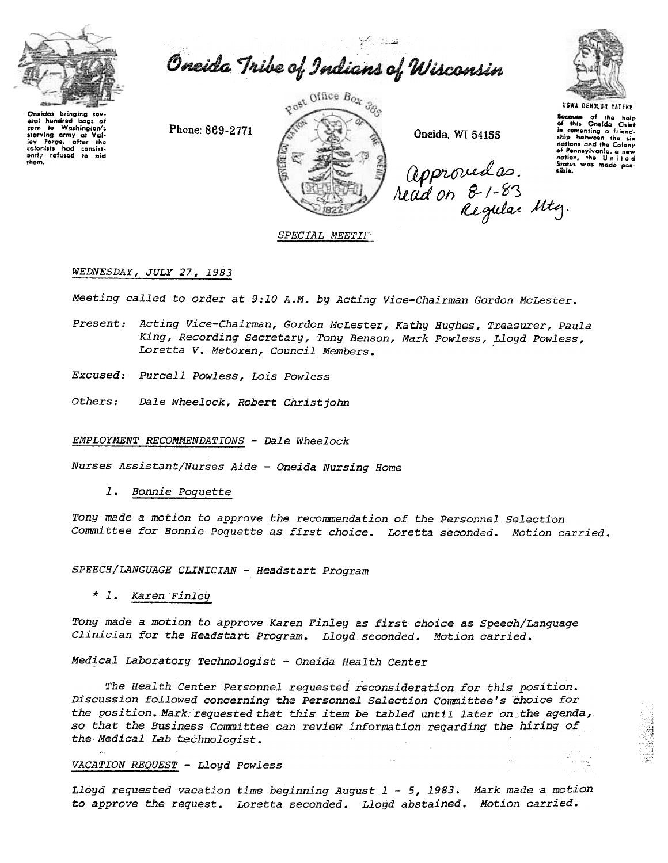

Oneida Tribe of Indians of Wisconsin

Onsidas bringing sor eral hundred bags of cern to Washington's<br>starving army at Valley<br>Forge, after the<br>celonists had consistently refused to aid<br>them.

Phone: 869-2771



Oneida, WI 54155

approved as. state<br>Nead on 8-1-83<br>Regular Mtg.



Secause of the help<br>of this Oneida Chief in this Oneign Chief ship between the six of Pennsylvania, a new<br>nation, the United<br>States was made possible.

## SPECIAL MEETIN

## WEDNESDAY, JULY 27, 1983

Meeting called to order at 9:10 A.M. by Acting Vice-Chairman Gordon McLester.

- Present: Acting Vice-Chairman, Gordon McLester, Kathy Hughes, Treasurer, Paula King, Recording Secretary, Tony Benson, Mark Powless, Lloyd Powless, Loretta V. Metoxen, Council Members.
- Excused: Purcell Powless, Lois Powless
- Others: Dale Wheelock, Robert Christjohn

EMPLOYMENT RECOMMENDATIONS - Dale Wheelock

Nurses Assistant/Nurses Aide - Oneida Nursing Home

 $1.$ Bonnie Poquette

Tony made a motion to approve the recommendation of the Personnel Selection Committee for Bonnie Poquette as first choice. Loretta seconded. Motion carried.

SPEECH/LANGUAGE CLINICIAN - Headstart Program

\* 1. Karen Finley

Tony made a motion to approve Karen Finley as first choice as Speech/Language Clinician for the Headstart Program. Lloyd seconded. Motion carried.

Medical Laboratory Technologist - Oneida Health Center

The Health Center Personnel requested reconsideration for this position. Discussion followed concerning the Personnel Selection Committee's choice for the position. Mark requested that this item be tabled until later on the agenda, so that the Business Committee can review information reqarding the hiring of the Medical Lab technologist.

#### VACATION REQUEST - Lloyd Powless

Lloyd requested vacation time beginning August  $1 - 5$ , 1983. Mark made a motion to approve the request. Loretta seconded. Lloyd abstained. Motion carried.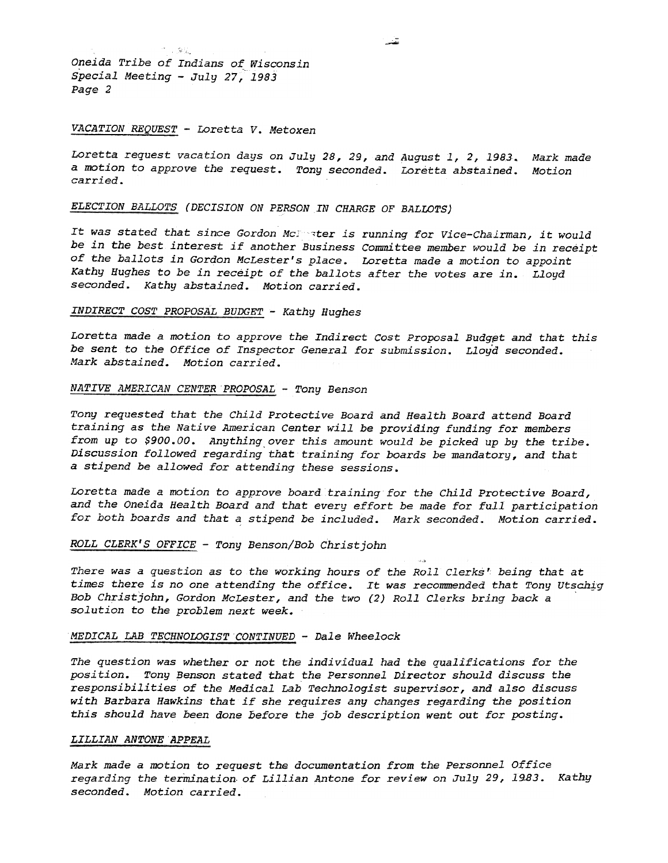Oneida Tribe of Indians of Wisconsin Special Meeting - July 27, 19 Page 2

11.3%

## VACATION REQUEST - Loretta V. Metoxen

Loretta request vacation days on July 28, 29, and August 1, 2, 1983. Mark made a motion to approve the request. Tony seconded. Loretta abstained. Motion carried.

# ELECTION BALLOTS (DECISION ON PERSON IN CHARGE OF BALLOTS)

It was stated that since Gordon McJ ster is running for Vice-Chairman, it would be in the best interest if another Business Committee member would be in receipt of the ballots in Gordon McLester's place. Loretta made a motion to appoint Kathy Hughes to be in receipt of the ballots after the votes are in. Lloyd seconded. Kathy abstained. Motion carried.

## INDIRECT COST PROPOSAL BUDGET - Kathy Hughes

Loretta made a motion to approve the Indirect Cost Proposal Budget and that this be sent to the Office of Inspector General for submission. Lloyd seconded. Mark abstained. Motion carried.

## NATIVE AMERICAN CENTER PROPOSAL - Tony Benson

Tony requested that the Child Protective Board and Health Board attend Board training as the Native American Center will be providing funding for members from up to \$900.00. Anything over this amount would be picked up by the tribe. Discussion followed regarding that training for boards be mandatory, and that a stipend be allowed for attending these sessions.

Loretta made a motion to approve board training for the child Protective Board, and the Oneida Health Board and that every effort be made for full participation for both boards and that a stipend be included. Mark seconded. Motion carried.

### ROLL CLERK'S OFFICE -Tony Benson/Bob Christ john

There was a question as to the working hours of the Roll Clerks' being that at times there is no one attending the office. It was recommended that Tony Utschig<br>Bob Christjohn, Gordon McLester, and the two (2) Roll Clerks bring back a solution to the problem next week.

c,

#### MEDICAL LAB TECHNOLOGIST CONTINUED - Dale Wheelock

The question was whether or not the individual had the qualifications for the position. Tony Benson stated that the Personnel Director should discuss the responsibilities of the Medical Lab Technologist supervisor, and also discuss with Barbara Hawkins that if she requires any changes regarding the position this should have been done before the job description went out for posting.

### LILLIAN ANTONE APPEAL

Mark made a motion to request the documentation from the Personnel Office regarding the termination of Lillian Antone for review on July 29, 1983. Kath seconded. Motion carried.